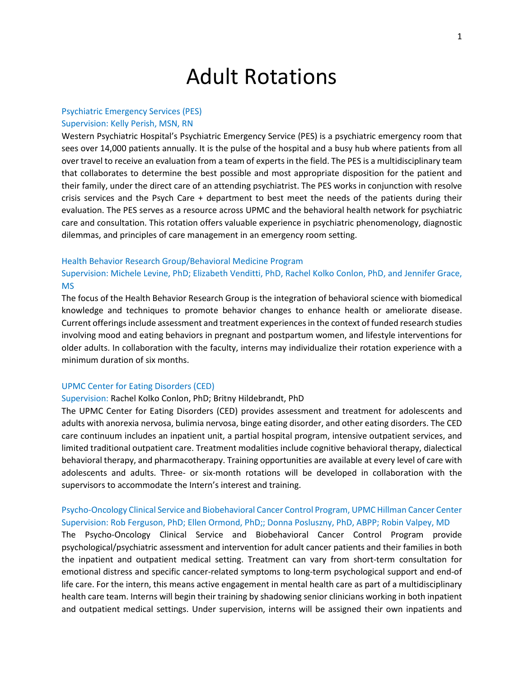# Adult Rotations

## Psychiatric Emergency Services (PES)

## Supervision: Kelly Perish, MSN, RN

Western Psychiatric Hospital's Psychiatric Emergency Service (PES) is a psychiatric emergency room that sees over 14,000 patients annually. It is the pulse of the hospital and a busy hub where patients from all over travel to receive an evaluation from a team of experts in the field. The PES is a multidisciplinary team that collaborates to determine the best possible and most appropriate disposition for the patient and their family, under the direct care of an attending psychiatrist. The PES works in conjunction with resolve crisis services and the Psych Care + department to best meet the needs of the patients during their evaluation. The PES serves as a resource across UPMC and the behavioral health network for psychiatric care and consultation. This rotation offers valuable experience in psychiatric phenomenology, diagnostic dilemmas, and principles of care management in an emergency room setting.

#### Health Behavior Research Group/Behavioral Medicine Program

Supervision: Michele Levine, PhD; Elizabeth Venditti, PhD, Rachel Kolko Conlon, PhD, and Jennifer Grace, MS

The focus of the Health Behavior Research Group is the integration of behavioral science with biomedical knowledge and techniques to promote behavior changes to enhance health or ameliorate disease. Current offerings include assessment and treatment experiences in the context of funded research studies involving mood and eating behaviors in pregnant and postpartum women, and lifestyle interventions for older adults. In collaboration with the faculty, interns may individualize their rotation experience with a minimum duration of six months.

## UPMC Center for Eating Disorders (CED)

#### Supervision: Rachel Kolko Conlon, PhD; Britny Hildebrandt, PhD

The UPMC Center for Eating Disorders (CED) provides assessment and treatment for adolescents and adults with anorexia nervosa, bulimia nervosa, binge eating disorder, and other eating disorders. The CED care continuum includes an inpatient unit, a partial hospital program, intensive outpatient services, and limited traditional outpatient care. Treatment modalities include cognitive behavioral therapy, dialectical behavioral therapy, and pharmacotherapy. Training opportunities are available at every level of care with adolescents and adults. Three- or six-month rotations will be developed in collaboration with the supervisors to accommodate the Intern's interest and training.

## Psycho-Oncology Clinical Service and Biobehavioral Cancer Control Program, UPMC Hillman Cancer Center Supervision: Rob Ferguson, PhD; Ellen Ormond, PhD;; Donna Posluszny, PhD, ABPP; Robin Valpey, MD

The Psycho-Oncology Clinical Service and Biobehavioral Cancer Control Program provide psychological/psychiatric assessment and intervention for adult cancer patients and their families in both the inpatient and outpatient medical setting. Treatment can vary from short-term consultation for emotional distress and specific cancer-related symptoms to long-term psychological support and end-of life care. For the intern, this means active engagement in mental health care as part of a multidisciplinary health care team. Interns will begin their training by shadowing senior clinicians working in both inpatient and outpatient medical settings. Under supervision, interns will be assigned their own inpatients and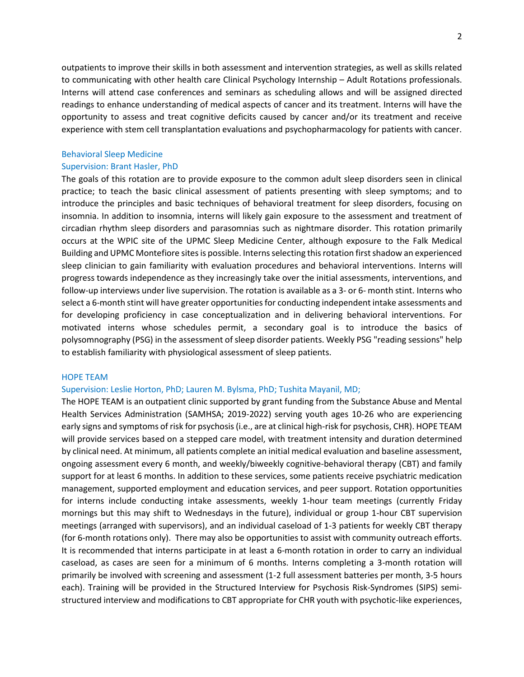outpatients to improve their skills in both assessment and intervention strategies, as well as skills related to communicating with other health care Clinical Psychology Internship – Adult Rotations professionals. Interns will attend case conferences and seminars as scheduling allows and will be assigned directed readings to enhance understanding of medical aspects of cancer and its treatment. Interns will have the opportunity to assess and treat cognitive deficits caused by cancer and/or its treatment and receive experience with stem cell transplantation evaluations and psychopharmacology for patients with cancer.

## Behavioral Sleep Medicine

## Supervision: Brant Hasler, PhD

The goals of this rotation are to provide exposure to the common adult sleep disorders seen in clinical practice; to teach the basic clinical assessment of patients presenting with sleep symptoms; and to introduce the principles and basic techniques of behavioral treatment for sleep disorders, focusing on insomnia. In addition to insomnia, interns will likely gain exposure to the assessment and treatment of circadian rhythm sleep disorders and parasomnias such as nightmare disorder. This rotation primarily occurs at the WPIC site of the UPMC Sleep Medicine Center, although exposure to the Falk Medical Building and UPMC Montefiore sites is possible. Interns selecting this rotation first shadow an experienced sleep clinician to gain familiarity with evaluation procedures and behavioral interventions. Interns will progress towards independence as they increasingly take over the initial assessments, interventions, and follow-up interviews under live supervision. The rotation is available as a 3- or 6- month stint. Interns who select a 6-month stint will have greater opportunities for conducting independent intake assessments and for developing proficiency in case conceptualization and in delivering behavioral interventions. For motivated interns whose schedules permit, a secondary goal is to introduce the basics of polysomnography (PSG) in the assessment of sleep disorder patients. Weekly PSG "reading sessions" help to establish familiarity with physiological assessment of sleep patients.

## HOPE TEAM

## Supervision: Leslie Horton, PhD; Lauren M. Bylsma, PhD; Tushita Mayanil, MD;

The HOPE TEAM is an outpatient clinic supported by grant funding from the Substance Abuse and Mental Health Services Administration (SAMHSA; 2019-2022) serving youth ages 10-26 who are experiencing early signs and symptoms of risk for psychosis (i.e., are at clinical high-risk for psychosis, CHR). HOPE TEAM will provide services based on a stepped care model, with treatment intensity and duration determined by clinical need. At minimum, all patients complete an initial medical evaluation and baseline assessment, ongoing assessment every 6 month, and weekly/biweekly cognitive-behavioral therapy (CBT) and family support for at least 6 months. In addition to these services, some patients receive psychiatric medication management, supported employment and education services, and peer support. Rotation opportunities for interns include conducting intake assessments, weekly 1-hour team meetings (currently Friday mornings but this may shift to Wednesdays in the future), individual or group 1-hour CBT supervision meetings (arranged with supervisors), and an individual caseload of 1-3 patients for weekly CBT therapy (for 6-month rotations only).  There may also be opportunities to assist with community outreach efforts. It is recommended that interns participate in at least a 6-month rotation in order to carry an individual caseload, as cases are seen for a minimum of 6 months. Interns completing a 3-month rotation will primarily be involved with screening and assessment (1-2 full assessment batteries per month, 3-5 hours each). Training will be provided in the Structured Interview for Psychosis Risk-Syndromes (SIPS) semistructured interview and modifications to CBT appropriate for CHR youth with psychotic-like experiences,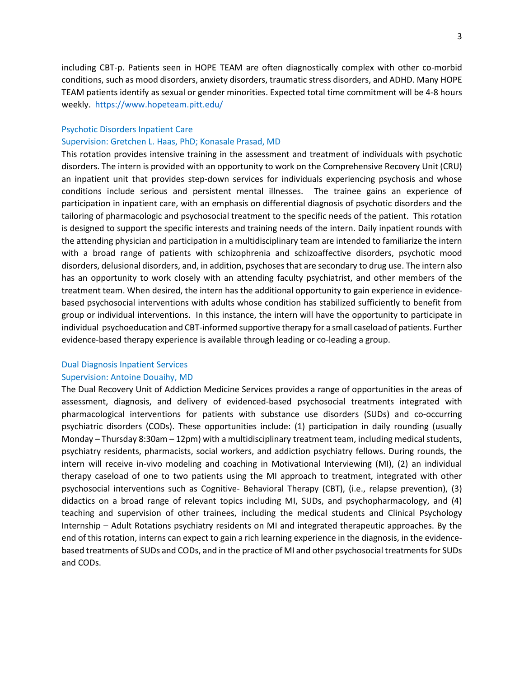including CBT-p. Patients seen in HOPE TEAM are often diagnostically complex with other co-morbid conditions, such as mood disorders, anxiety disorders, traumatic stress disorders, and ADHD. Many HOPE TEAM patients identify as sexual or gender minorities. Expected total time commitment will be 4-8 hours weekly. <https://www.hopeteam.pitt.edu/>

#### Psychotic Disorders Inpatient Care

## Supervision: Gretchen L. Haas, PhD; Konasale Prasad, MD

This rotation provides intensive training in the assessment and treatment of individuals with psychotic disorders. The intern is provided with an opportunity to work on the Comprehensive Recovery Unit (CRU) an inpatient unit that provides step-down services for individuals experiencing psychosis and whose conditions include serious and persistent mental illnesses. The trainee gains an experience of participation in inpatient care, with an emphasis on differential diagnosis of psychotic disorders and the tailoring of pharmacologic and psychosocial treatment to the specific needs of the patient. This rotation is designed to support the specific interests and training needs of the intern. Daily inpatient rounds with the attending physician and participation in a multidisciplinary team are intended to familiarize the intern with a broad range of patients with schizophrenia and schizoaffective disorders, psychotic mood disorders, delusional disorders, and, in addition, psychoses that are secondary to drug use. The intern also has an opportunity to work closely with an attending faculty psychiatrist, and other members of the treatment team. When desired, the intern has the additional opportunity to gain experience in evidencebased psychosocial interventions with adults whose condition has stabilized sufficiently to benefit from group or individual interventions. In this instance, the intern will have the opportunity to participate in individual psychoeducation and CBT-informed supportive therapy for a small caseload of patients. Further evidence-based therapy experience is available through leading or co-leading a group.

### Dual Diagnosis Inpatient Services

## Supervision: Antoine Douaihy, MD

The Dual Recovery Unit of Addiction Medicine Services provides a range of opportunities in the areas of assessment, diagnosis, and delivery of evidenced-based psychosocial treatments integrated with pharmacological interventions for patients with substance use disorders (SUDs) and co-occurring psychiatric disorders (CODs). These opportunities include: (1) participation in daily rounding (usually Monday – Thursday 8:30am – 12pm) with a multidisciplinary treatment team, including medical students, psychiatry residents, pharmacists, social workers, and addiction psychiatry fellows. During rounds, the intern will receive in-vivo modeling and coaching in Motivational Interviewing (MI), (2) an individual therapy caseload of one to two patients using the MI approach to treatment, integrated with other psychosocial interventions such as Cognitive- Behavioral Therapy (CBT), (i.e., relapse prevention), (3) didactics on a broad range of relevant topics including MI, SUDs, and psychopharmacology, and (4) teaching and supervision of other trainees, including the medical students and Clinical Psychology Internship – Adult Rotations psychiatry residents on MI and integrated therapeutic approaches. By the end of this rotation, interns can expect to gain a rich learning experience in the diagnosis, in the evidencebased treatments of SUDs and CODs, and in the practice of MI and other psychosocial treatments for SUDs and CODs.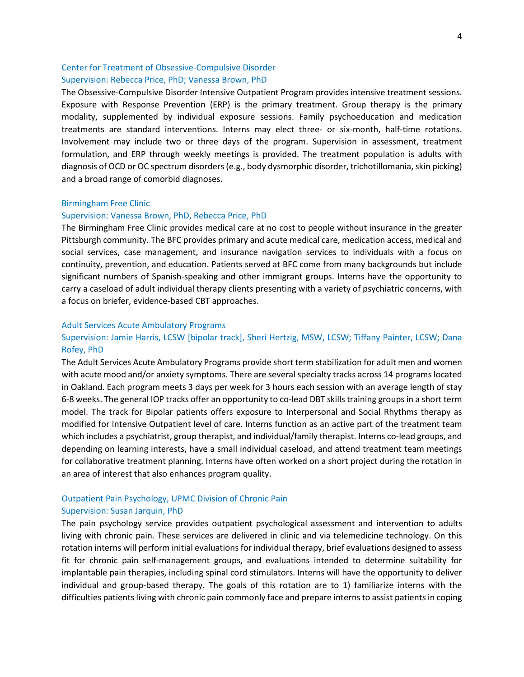## Center for Treatment of Obsessive-Compulsive Disorder Supervision: Rebecca Price, PhD; Vanessa Brown, PhD

The Obsessive-Compulsive Disorder Intensive Outpatient Program provides intensive treatment sessions. Exposure with Response Prevention (ERP) is the primary treatment. Group therapy is the primary modality, supplemented by individual exposure sessions. Family psychoeducation and medication treatments are standard interventions. Interns may elect three- or six-month, half-time rotations. Involvement may include two or three days of the program. Supervision in assessment, treatment formulation, and ERP through weekly meetings is provided. The treatment population is adults with diagnosis of OCD or OC spectrum disorders (e.g., body dysmorphic disorder, trichotillomania, skin picking) and a broad range of comorbid diagnoses.

## Birmingham Free Clinic

## Supervision: Vanessa Brown, PhD, Rebecca Price, PhD

The Birmingham Free Clinic provides medical care at no cost to people without insurance in the greater Pittsburgh community. The BFC provides primary and acute medical care, medication access, medical and social services, case management, and insurance navigation services to individuals with a focus on continuity, prevention, and education. Patients served at BFC come from many backgrounds but include significant numbers of Spanish-speaking and other immigrant groups. Interns have the opportunity to carry a caseload of adult individual therapy clients presenting with a variety of psychiatric concerns, with a focus on briefer, evidence-based CBT approaches.

## Adult Services Acute Ambulatory Programs

## Supervision: Jamie Harris, LCSW [bipolar track], Sheri Hertzig, MSW, LCSW; Tiffany Painter, LCSW; Dana Rofey, PhD

The Adult Services Acute Ambulatory Programs provide short term stabilization for adult men and women with acute mood and/or anxiety symptoms. There are several specialty tracks across 14 programs located in Oakland. Each program meets 3 days per week for 3 hours each session with an average length of stay 6-8 weeks. The general IOP tracks offer an opportunity to co-lead DBT skills training groups in a short term model. The track for Bipolar patients offers exposure to Interpersonal and Social Rhythms therapy as modified for Intensive Outpatient level of care. Interns function as an active part of the treatment team which includes a psychiatrist, group therapist, and individual/family therapist. Interns co-lead groups, and depending on learning interests, have a small individual caseload, and attend treatment team meetings for collaborative treatment planning. Interns have often worked on a short project during the rotation in an area of interest that also enhances program quality.

# Outpatient Pain Psychology, UPMC Division of Chronic Pain

## Supervision: Susan Jarquin, PhD

The pain psychology service provides outpatient psychological assessment and intervention to adults living with chronic pain. These services are delivered in clinic and via telemedicine technology. On this rotation interns will perform initial evaluations for individual therapy, brief evaluations designed to assess fit for chronic pain self-management groups, and evaluations intended to determine suitability for implantable pain therapies, including spinal cord stimulators. Interns will have the opportunity to deliver individual and group-based therapy. The goals of this rotation are to 1) familiarize interns with the difficulties patients living with chronic pain commonly face and prepare interns to assist patients in coping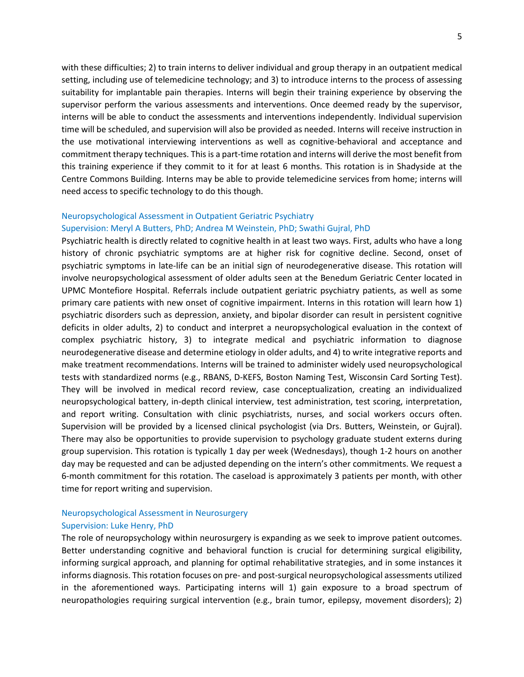with these difficulties; 2) to train interns to deliver individual and group therapy in an outpatient medical setting, including use of telemedicine technology; and 3) to introduce interns to the process of assessing suitability for implantable pain therapies. Interns will begin their training experience by observing the supervisor perform the various assessments and interventions. Once deemed ready by the supervisor, interns will be able to conduct the assessments and interventions independently. Individual supervision time will be scheduled, and supervision will also be provided as needed. Interns will receive instruction in the use motivational interviewing interventions as well as cognitive-behavioral and acceptance and commitment therapy techniques. This is a part-time rotation and interns will derive the most benefit from this training experience if they commit to it for at least 6 months. This rotation is in Shadyside at the Centre Commons Building. Interns may be able to provide telemedicine services from home; interns will need access to specific technology to do this though.

## Neuropsychological Assessment in Outpatient Geriatric Psychiatry

## Supervision: Meryl A Butters, PhD; Andrea M Weinstein, PhD; Swathi Gujral, PhD

Psychiatric health is directly related to cognitive health in at least two ways. First, adults who have a long history of chronic psychiatric symptoms are at higher risk for cognitive decline. Second, onset of psychiatric symptoms in late-life can be an initial sign of neurodegenerative disease. This rotation will involve neuropsychological assessment of older adults seen at the Benedum Geriatric Center located in UPMC Montefiore Hospital. Referrals include outpatient geriatric psychiatry patients, as well as some primary care patients with new onset of cognitive impairment. Interns in this rotation will learn how 1) psychiatric disorders such as depression, anxiety, and bipolar disorder can result in persistent cognitive deficits in older adults, 2) to conduct and interpret a neuropsychological evaluation in the context of complex psychiatric history, 3) to integrate medical and psychiatric information to diagnose neurodegenerative disease and determine etiology in older adults, and 4) to write integrative reports and make treatment recommendations. Interns will be trained to administer widely used neuropsychological tests with standardized norms (e.g., RBANS, D-KEFS, Boston Naming Test, Wisconsin Card Sorting Test). They will be involved in medical record review, case conceptualization, creating an individualized neuropsychological battery, in-depth clinical interview, test administration, test scoring, interpretation, and report writing. Consultation with clinic psychiatrists, nurses, and social workers occurs often. Supervision will be provided by a licensed clinical psychologist (via Drs. Butters, Weinstein, or Gujral). There may also be opportunities to provide supervision to psychology graduate student externs during group supervision. This rotation is typically 1 day per week (Wednesdays), though 1-2 hours on another day may be requested and can be adjusted depending on the intern's other commitments. We request a 6-month commitment for this rotation. The caseload is approximately 3 patients per month, with other time for report writing and supervision.

## Neuropsychological Assessment in Neurosurgery Supervision: Luke Henry, PhD

The role of neuropsychology within neurosurgery is expanding as we seek to improve patient outcomes. Better understanding cognitive and behavioral function is crucial for determining surgical eligibility, informing surgical approach, and planning for optimal rehabilitative strategies, and in some instances it informs diagnosis. This rotation focuses on pre- and post-surgical neuropsychological assessments utilized in the aforementioned ways. Participating interns will 1) gain exposure to a broad spectrum of neuropathologies requiring surgical intervention (e.g., brain tumor, epilepsy, movement disorders); 2)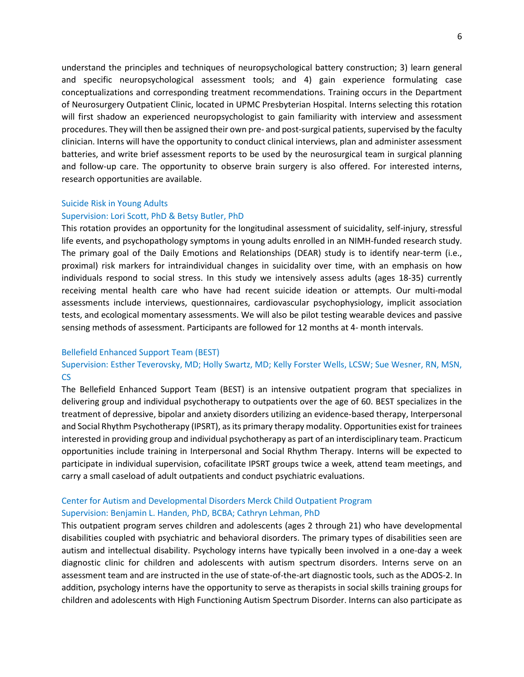understand the principles and techniques of neuropsychological battery construction; 3) learn general and specific neuropsychological assessment tools; and 4) gain experience formulating case conceptualizations and corresponding treatment recommendations. Training occurs in the Department of Neurosurgery Outpatient Clinic, located in UPMC Presbyterian Hospital. Interns selecting this rotation will first shadow an experienced neuropsychologist to gain familiarity with interview and assessment procedures. They will then be assigned their own pre- and post-surgical patients, supervised by the faculty clinician. Interns will have the opportunity to conduct clinical interviews, plan and administer assessment batteries, and write brief assessment reports to be used by the neurosurgical team in surgical planning and follow-up care. The opportunity to observe brain surgery is also offered. For interested interns, research opportunities are available.

## Suicide Risk in Young Adults

## Supervision: Lori Scott, PhD & Betsy Butler, PhD

This rotation provides an opportunity for the longitudinal assessment of suicidality, self-injury, stressful life events, and psychopathology symptoms in young adults enrolled in an NIMH-funded research study. The primary goal of the Daily Emotions and Relationships (DEAR) study is to identify near-term (i.e., proximal) risk markers for intraindividual changes in suicidality over time, with an emphasis on how individuals respond to social stress. In this study we intensively assess adults (ages 18-35) currently receiving mental health care who have had recent suicide ideation or attempts. Our multi-modal assessments include interviews, questionnaires, cardiovascular psychophysiology, implicit association tests, and ecological momentary assessments. We will also be pilot testing wearable devices and passive sensing methods of assessment. Participants are followed for 12 months at 4- month intervals.

## Bellefield Enhanced Support Team (BEST)

## Supervision: Esther Teverovsky, MD; Holly Swartz, MD; Kelly Forster Wells, LCSW; Sue Wesner, RN, MSN, CS

The Bellefield Enhanced Support Team (BEST) is an intensive outpatient program that specializes in delivering group and individual psychotherapy to outpatients over the age of 60. BEST specializes in the treatment of depressive, bipolar and anxiety disorders utilizing an evidence-based therapy, Interpersonal and Social Rhythm Psychotherapy (IPSRT), as its primary therapy modality. Opportunities exist for trainees interested in providing group and individual psychotherapy as part of an interdisciplinary team. Practicum opportunities include training in Interpersonal and Social Rhythm Therapy. Interns will be expected to participate in individual supervision, cofacilitate IPSRT groups twice a week, attend team meetings, and carry a small caseload of adult outpatients and conduct psychiatric evaluations.

## Center for Autism and Developmental Disorders Merck Child Outpatient Program Supervision: Benjamin L. Handen, PhD, BCBA; Cathryn Lehman, PhD

This outpatient program serves children and adolescents (ages 2 through 21) who have developmental disabilities coupled with psychiatric and behavioral disorders. The primary types of disabilities seen are autism and intellectual disability. Psychology interns have typically been involved in a one-day a week diagnostic clinic for children and adolescents with autism spectrum disorders. Interns serve on an assessment team and are instructed in the use of state-of-the-art diagnostic tools, such as the ADOS-2. In addition, psychology interns have the opportunity to serve as therapists in social skills training groups for children and adolescents with High Functioning Autism Spectrum Disorder. Interns can also participate as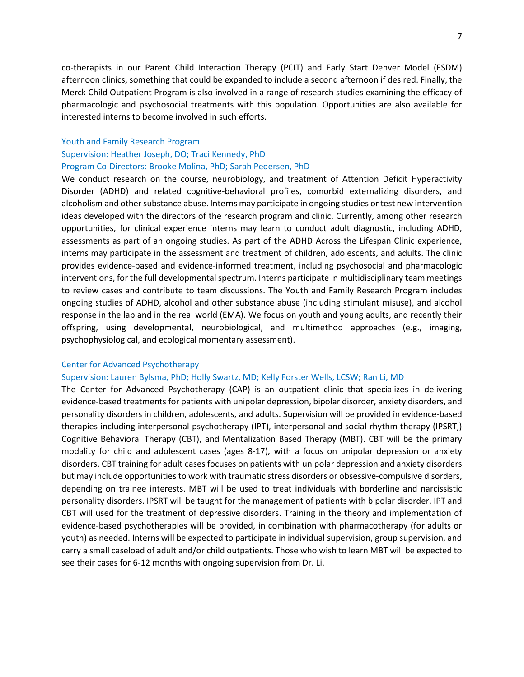co-therapists in our Parent Child Interaction Therapy (PCIT) and Early Start Denver Model (ESDM) afternoon clinics, something that could be expanded to include a second afternoon if desired. Finally, the Merck Child Outpatient Program is also involved in a range of research studies examining the efficacy of pharmacologic and psychosocial treatments with this population. Opportunities are also available for interested interns to become involved in such efforts.

#### Youth and Family Research Program

## Supervision: Heather Joseph, DO; Traci Kennedy, PhD Program Co-Directors: Brooke Molina, PhD; Sarah Pedersen, PhD

We conduct research on the course, neurobiology, and treatment of Attention Deficit Hyperactivity Disorder (ADHD) and related cognitive-behavioral profiles, comorbid externalizing disorders, and alcoholism and other substance abuse. Interns may participate in ongoing studies or test new intervention ideas developed with the directors of the research program and clinic. Currently, among other research opportunities, for clinical experience interns may learn to conduct adult diagnostic, including ADHD, assessments as part of an ongoing studies. As part of the ADHD Across the Lifespan Clinic experience, interns may participate in the assessment and treatment of children, adolescents, and adults. The clinic provides evidence-based and evidence-informed treatment, including psychosocial and pharmacologic interventions, for the full developmental spectrum. Interns participate in multidisciplinary team meetings to review cases and contribute to team discussions. The Youth and Family Research Program includes ongoing studies of ADHD, alcohol and other substance abuse (including stimulant misuse), and alcohol response in the lab and in the real world (EMA). We focus on youth and young adults, and recently their offspring, using developmental, neurobiological, and multimethod approaches (e.g., imaging, psychophysiological, and ecological momentary assessment).

## Center for Advanced Psychotherapy

## Supervision: Lauren Bylsma, PhD; Holly Swartz, MD; Kelly Forster Wells, LCSW; Ran Li, MD

The Center for Advanced Psychotherapy (CAP) is an outpatient clinic that specializes in delivering evidence-based treatments for patients with unipolar depression, bipolar disorder, anxiety disorders, and personality disorders in children, adolescents, and adults. Supervision will be provided in evidence-based therapies including interpersonal psychotherapy (IPT), interpersonal and social rhythm therapy (IPSRT,) Cognitive Behavioral Therapy (CBT), and Mentalization Based Therapy (MBT). CBT will be the primary modality for child and adolescent cases (ages 8-17), with a focus on unipolar depression or anxiety disorders. CBT training for adult cases focuses on patients with unipolar depression and anxiety disorders but may include opportunities to work with traumatic stress disorders or obsessive-compulsive disorders, depending on trainee interests. MBT will be used to treat individuals with borderline and narcissistic personality disorders. IPSRT will be taught for the management of patients with bipolar disorder. IPT and CBT will used for the treatment of depressive disorders. Training in the theory and implementation of evidence-based psychotherapies will be provided, in combination with pharmacotherapy (for adults or youth) as needed. Interns will be expected to participate in individual supervision, group supervision, and carry a small caseload of adult and/or child outpatients. Those who wish to learn MBT will be expected to see their cases for 6-12 months with ongoing supervision from Dr. Li.